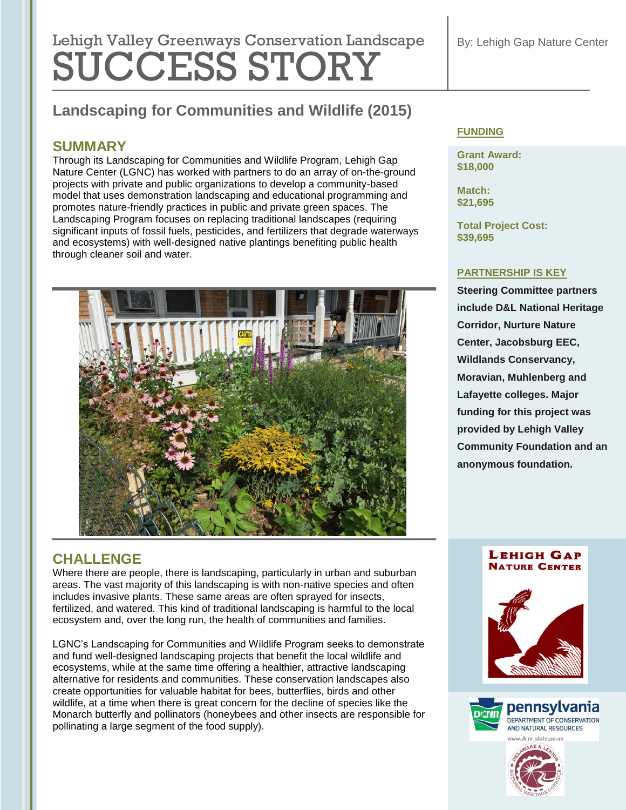# Lehigh Valley Greenways Conservation Landscape SUCCESS STORY

# **Landscaping for Communities and Wildlife (2015)**

## **SUMMARY**

Through its Landscaping for Communities and Wildlife Program, Lehigh Gap Nature Center (LGNC) has worked with partners to do an array of on-the-ground projects with private and public organizations to develop a community-based model that uses demonstration landscaping and educational programming and promotes nature-friendly practices in public and private green spaces. The Landscaping Program focuses on replacing traditional landscapes (requiring significant inputs of fossil fuels, pesticides, and fertilizers that degrade waterways and ecosystems) with well-designed native plantings benefiting public health through cleaner soil and water.



# **CHALLENGE**

Where there are people, there is landscaping, particularly in urban and suburban areas. The vast majority of this landscaping is with non-native species and often includes invasive plants. These same areas are often sprayed for insects, fertilized, and watered. This kind of traditional landscaping is harmful to the local ecosystem and, over the long run, the health of communities and families.

LGNC's Landscaping for Communities and Wildlife Program seeks to demonstrate and fund well-designed landscaping projects that benefit the local wildlife and ecosystems, while at the same time offering a healthier, attractive landscaping alternative for residents and communities. These conservation landscapes also create opportunities for valuable habitat for bees, butterflies, birds and other wildlife, at a time when there is great concern for the decline of species like the Monarch butterfly and pollinators (honeybees and other insects are responsible for pollinating a large segment of the food supply).

### **FUNDING**

**Grant Award: \$18,000**

**Match: \$21,695**

**Total Project Cost: \$39,695**

#### **PARTNERSHIP IS KEY**

**Steering Committee partners include D&L National Heritage Corridor, Nurture Nature Center, Jacobsburg EEC, Wildlands Conservancy, Moravian, Muhlenberg and Lafayette colleges. Major funding for this project was provided by Lehigh Valley Community Foundation and an anonymous foundation.**

#### **LEHIGH GAP NATURE CENTER**